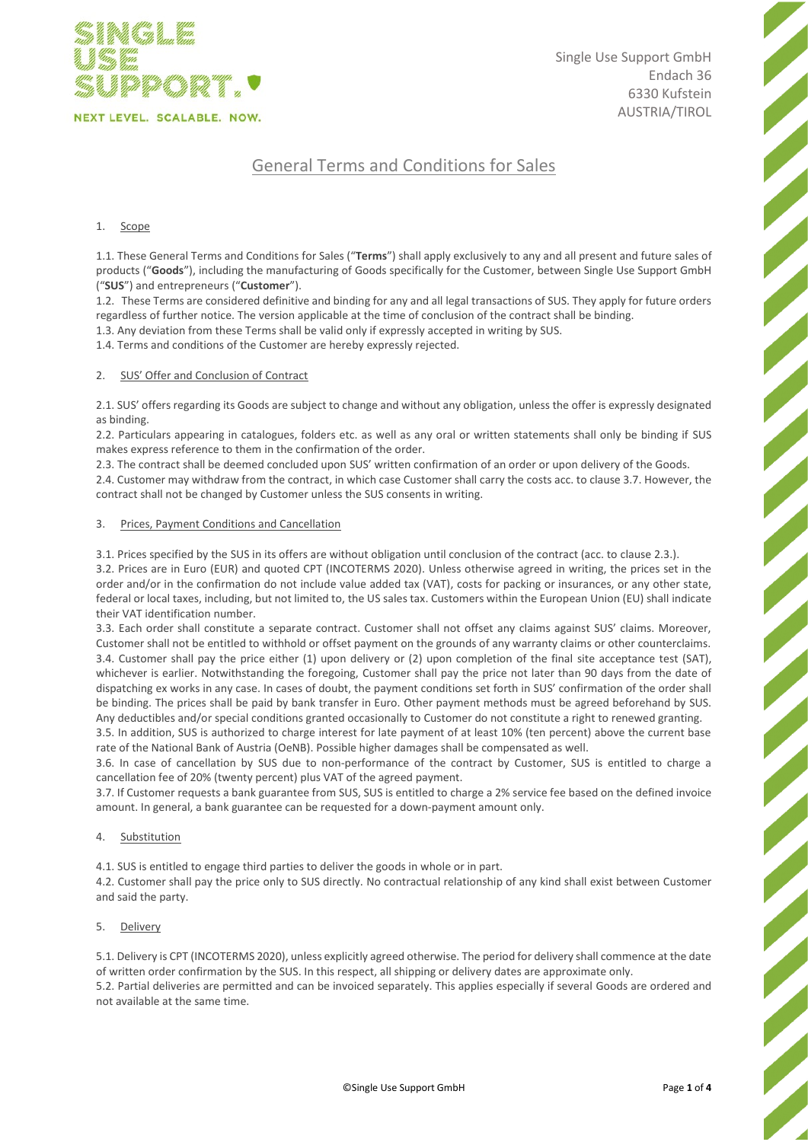

Single Use Support GmbH Endach 36 6330 Kufstein AUSTRIA/TIROL

# General Terms and Conditions for Sales

# 1. Scope

1.1. These General Terms and Conditions for Sales ("**Terms**") shall apply exclusively to any and all present and future sales of products ("**Goods**"), including the manufacturing of Goods specifically for the Customer, between Single Use Support GmbH ("**SUS**") and entrepreneurs ("**Customer**").

1.2. These Terms are considered definitive and binding for any and all legal transactions of SUS. They apply for future orders regardless of further notice. The version applicable at the time of conclusion of the contract shall be binding.

1.3. Any deviation from these Terms shall be valid only if expressly accepted in writing by SUS.

1.4. Terms and conditions of the Customer are hereby expressly rejected.

# 2. SUS' Offer and Conclusion of Contract

2.1. SUS' offers regarding its Goods are subject to change and without any obligation, unless the offer is expressly designated as binding.

2.2. Particulars appearing in catalogues, folders etc. as well as any oral or written statements shall only be binding if SUS makes express reference to them in the confirmation of the order.

2.3. The contract shall be deemed concluded upon SUS' written confirmation of an order or upon delivery of the Goods. 2.4. Customer may withdraw from the contract, in which case Customer shall carry the costs acc. to clause 3.7. However, the contract shall not be changed by Customer unless the SUS consents in writing.

# 3. Prices, Payment Conditions and Cancellation

3.1. Prices specified by the SUS in its offers are without obligation until conclusion of the contract (acc. to clause 2.3.).

3.2. Prices are in Euro (EUR) and quoted CPT (INCOTERMS 2020). Unless otherwise agreed in writing, the prices set in the order and/or in the confirmation do not include value added tax (VAT), costs for packing or insurances, or any other state, federal or local taxes, including, but not limited to, the US sales tax. Customers within the European Union (EU) shall indicate their VAT identification number.

3.3. Each order shall constitute a separate contract. Customer shall not offset any claims against SUS' claims. Moreover, Customer shall not be entitled to withhold or offset payment on the grounds of any warranty claims or other counterclaims. 3.4. Customer shall pay the price either (1) upon delivery or (2) upon completion of the final site acceptance test (SAT), whichever is earlier. Notwithstanding the foregoing, Customer shall pay the price not later than 90 days from the date of dispatching ex works in any case. In cases of doubt, the payment conditions set forth in SUS' confirmation of the order shall be binding. The prices shall be paid by bank transfer in Euro. Other payment methods must be agreed beforehand by SUS. Any deductibles and/or special conditions granted occasionally to Customer do not constitute a right to renewed granting.

3.5. In addition, SUS is authorized to charge interest for late payment of at least 10% (ten percent) above the current base rate of the National Bank of Austria (OeNB). Possible higher damages shall be compensated as well.

3.6. In case of cancellation by SUS due to non-performance of the contract by Customer, SUS is entitled to charge a cancellation fee of 20% (twenty percent) plus VAT of the agreed payment.

3.7. If Customer requests a bank guarantee from SUS, SUS is entitled to charge a 2% service fee based on the defined invoice amount. In general, a bank guarantee can be requested for a down-payment amount only.

# 4. Substitution

4.1. SUS is entitled to engage third parties to deliver the goods in whole or in part.

4.2. Customer shall pay the price only to SUS directly. No contractual relationship of any kind shall exist between Customer and said the party.

# 5. Delivery

5.1. Delivery is CPT (INCOTERMS 2020), unless explicitly agreed otherwise. The period for delivery shall commence at the date of written order confirmation by the SUS. In this respect, all shipping or delivery dates are approximate only. 5.2. Partial deliveries are permitted and can be invoiced separately. This applies especially if several Goods are ordered and not available at the same time.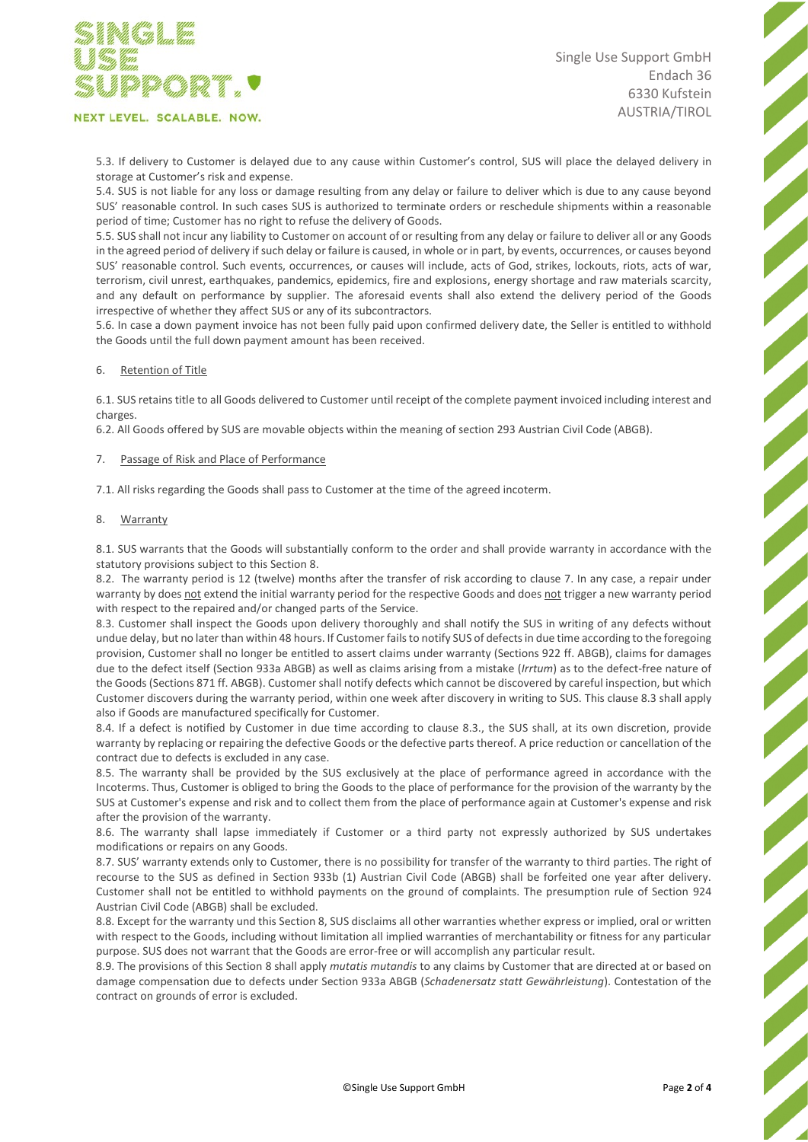

#### NEXT LEVEL. SCALABLE. NOW.

Single Use Support GmbH Endach 36 6330 Kufstein AUSTRIA/TIROL

5.3. If delivery to Customer is delayed due to any cause within Customer's control, SUS will place the delayed delivery in storage at Customer's risk and expense.

5.4. SUS is not liable for any loss or damage resulting from any delay or failure to deliver which is due to any cause beyond SUS' reasonable control. In such cases SUS is authorized to terminate orders or reschedule shipments within a reasonable period of time; Customer has no right to refuse the delivery of Goods.

5.5. SUS shall not incur any liability to Customer on account of or resulting from any delay or failure to deliver all or any Goods in the agreed period of delivery if such delay or failure is caused, in whole or in part, by events, occurrences, or causes beyond SUS' reasonable control. Such events, occurrences, or causes will include, acts of God, strikes, lockouts, riots, acts of war, terrorism, civil unrest, earthquakes, pandemics, epidemics, fire and explosions, energy shortage and raw materials scarcity, and any default on performance by supplier. The aforesaid events shall also extend the delivery period of the Goods irrespective of whether they affect SUS or any of its subcontractors.

5.6. In case a down payment invoice has not been fully paid upon confirmed delivery date, the Seller is entitled to withhold the Goods until the full down payment amount has been received.

# 6. Retention of Title

6.1. SUS retains title to all Goods delivered to Customer until receipt of the complete payment invoiced including interest and charges.

6.2. All Goods offered by SUS are movable objects within the meaning of section 293 Austrian Civil Code (ABGB).

# 7. Passage of Risk and Place of Performance

7.1. All risks regarding the Goods shall pass to Customer at the time of the agreed incoterm.

#### 8. Warranty

8.1. SUS warrants that the Goods will substantially conform to the order and shall provide warranty in accordance with the statutory provisions subject to this Section 8.

8.2. The warranty period is 12 (twelve) months after the transfer of risk according to clause 7. In any case, a repair under warranty by does not extend the initial warranty period for the respective Goods and does not trigger a new warranty period with respect to the repaired and/or changed parts of the Service.

8.3. Customer shall inspect the Goods upon delivery thoroughly and shall notify the SUS in writing of any defects without undue delay, but no later than within 48 hours. If Customerfails to notify SUS of defects in due time according to the foregoing provision, Customer shall no longer be entitled to assert claims under warranty (Sections 922 ff. ABGB), claims for damages due to the defect itself (Section 933a ABGB) as well as claims arising from a mistake (*Irrtum*) as to the defect-free nature of the Goods (Sections 871 ff. ABGB). Customer shall notify defects which cannot be discovered by careful inspection, but which Customer discovers during the warranty period, within one week after discovery in writing to SUS. This clause 8.3 shall apply also if Goods are manufactured specifically for Customer.

8.4. If a defect is notified by Customer in due time according to clause 8.3., the SUS shall, at its own discretion, provide warranty by replacing or repairing the defective Goods or the defective parts thereof. A price reduction or cancellation of the contract due to defects is excluded in any case.

8.5. The warranty shall be provided by the SUS exclusively at the place of performance agreed in accordance with the Incoterms. Thus, Customer is obliged to bring the Goods to the place of performance for the provision of the warranty by the SUS at Customer's expense and risk and to collect them from the place of performance again at Customer's expense and risk after the provision of the warranty.

8.6. The warranty shall lapse immediately if Customer or a third party not expressly authorized by SUS undertakes modifications or repairs on any Goods.

8.7. SUS' warranty extends only to Customer, there is no possibility for transfer of the warranty to third parties. The right of recourse to the SUS as defined in Section 933b (1) Austrian Civil Code (ABGB) shall be forfeited one year after delivery. Customer shall not be entitled to withhold payments on the ground of complaints. The presumption rule of Section 924 Austrian Civil Code (ABGB) shall be excluded.

8.8. Except for the warranty und this Section 8, SUS disclaims all other warranties whether express or implied, oral or written with respect to the Goods, including without limitation all implied warranties of merchantability or fitness for any particular purpose. SUS does not warrant that the Goods are error-free or will accomplish any particular result.

8.9. The provisions of this Section 8 shall apply *mutatis mutandis* to any claims by Customer that are directed at or based on damage compensation due to defects under Section 933a ABGB (*Schadenersatz statt Gewährleistung*). Contestation of the contract on grounds of error is excluded.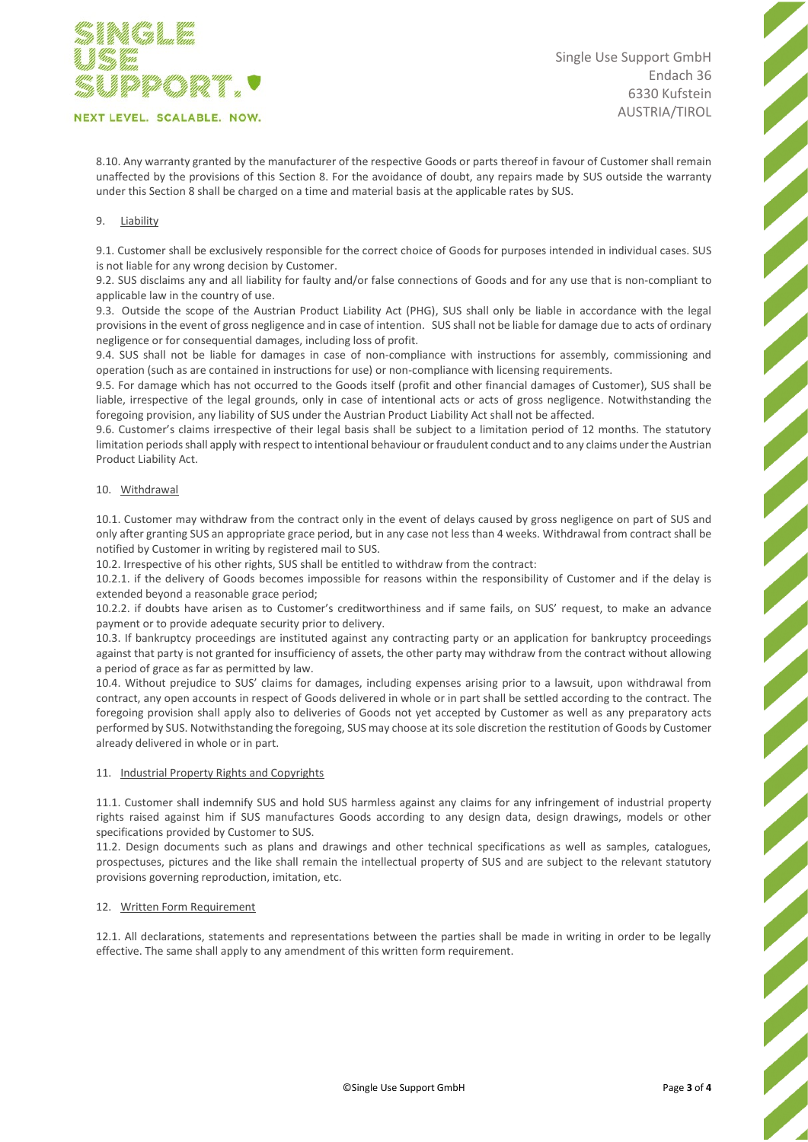

#### NEXT LEVEL. SCALABLE. NOW.

Single Use Support GmbH Endach 36 6330 Kufstein AUSTRIA/TIROL

8.10. Any warranty granted by the manufacturer of the respective Goods or parts thereof in favour of Customer shall remain unaffected by the provisions of this Section 8. For the avoidance of doubt, any repairs made by SUS outside the warranty under this Section 8 shall be charged on a time and material basis at the applicable rates by SUS.

# 9. Liability

9.1. Customer shall be exclusively responsible for the correct choice of Goods for purposes intended in individual cases. SUS is not liable for any wrong decision by Customer.

9.2. SUS disclaims any and all liability for faulty and/or false connections of Goods and for any use that is non-compliant to applicable law in the country of use.

9.3. Outside the scope of the Austrian Product Liability Act (PHG), SUS shall only be liable in accordance with the legal provisions in the event of gross negligence and in case of intention. SUS shall not be liable for damage due to acts of ordinary negligence or for consequential damages, including loss of profit.

9.4. SUS shall not be liable for damages in case of non-compliance with instructions for assembly, commissioning and operation (such as are contained in instructions for use) or non-compliance with licensing requirements.

9.5. For damage which has not occurred to the Goods itself (profit and other financial damages of Customer), SUS shall be liable, irrespective of the legal grounds, only in case of intentional acts or acts of gross negligence. Notwithstanding the foregoing provision, any liability of SUS under the Austrian Product Liability Act shall not be affected.

9.6. Customer's claims irrespective of their legal basis shall be subject to a limitation period of 12 months. The statutory limitation periods shall apply with respect to intentional behaviour or fraudulent conduct and to any claims under the Austrian Product Liability Act.

# 10. Withdrawal

10.1. Customer may withdraw from the contract only in the event of delays caused by gross negligence on part of SUS and only after granting SUS an appropriate grace period, but in any case not less than 4 weeks. Withdrawal from contract shall be notified by Customer in writing by registered mail to SUS.

10.2. Irrespective of his other rights, SUS shall be entitled to withdraw from the contract:

10.2.1. if the delivery of Goods becomes impossible for reasons within the responsibility of Customer and if the delay is extended beyond a reasonable grace period;

10.2.2. if doubts have arisen as to Customer's creditworthiness and if same fails, on SUS' request, to make an advance payment or to provide adequate security prior to delivery.

10.3. If bankruptcy proceedings are instituted against any contracting party or an application for bankruptcy proceedings against that party is not granted for insufficiency of assets, the other party may withdraw from the contract without allowing a period of grace as far as permitted by law.

10.4. Without prejudice to SUS' claims for damages, including expenses arising prior to a lawsuit, upon withdrawal from contract, any open accounts in respect of Goods delivered in whole or in part shall be settled according to the contract. The foregoing provision shall apply also to deliveries of Goods not yet accepted by Customer as well as any preparatory acts performed by SUS. Notwithstanding the foregoing, SUS may choose at its sole discretion the restitution of Goods by Customer already delivered in whole or in part.

#### 11. Industrial Property Rights and Copyrights

11.1. Customer shall indemnify SUS and hold SUS harmless against any claims for any infringement of industrial property rights raised against him if SUS manufactures Goods according to any design data, design drawings, models or other specifications provided by Customer to SUS.

11.2. Design documents such as plans and drawings and other technical specifications as well as samples, catalogues, prospectuses, pictures and the like shall remain the intellectual property of SUS and are subject to the relevant statutory provisions governing reproduction, imitation, etc.

# 12. Written Form Requirement

12.1. All declarations, statements and representations between the parties shall be made in writing in order to be legally effective. The same shall apply to any amendment of this written form requirement.